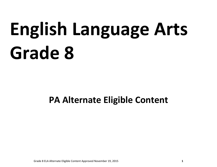# **English Language Arts Grade 8**

# **PA Alternate Eligible Content**

Grade 8 ELA Alternate Eligible Content Approved November 19, 2015 **1**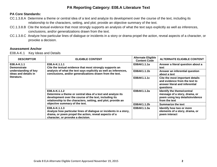## **PA Core Standards:**

- CC.1.3.8.A Determine a theme or central idea of a text and analyze its development over the course of the text, including its relationship to the characters, setting, and plot; provide an objective summary of the text.
- CC.1.3.8.B Cite the textual evidence that most strongly supports an analysis of what the text says explicitly as well as inferences, conclusions, and/or generalizations drawn from the text.
- CC.1.3.8.C Analyze how particular lines of dialogue or incidents in a story or drama propel the action, reveal aspects of a character, or provoke a decision.

#### **Assessment Anchor**

E08.A-K.1 Key Ideas and Details

| <b>DESCRIPTOR</b>                                                                                | <b>ELIGIBLE CONTENT</b>                                                                                                                                                                                                                   | <b>Alternate Eligible</b><br><b>Content Code</b> | <b>ALTERNATE ELIGIBLE CONTENT</b>                                                                               |
|--------------------------------------------------------------------------------------------------|-------------------------------------------------------------------------------------------------------------------------------------------------------------------------------------------------------------------------------------------|--------------------------------------------------|-----------------------------------------------------------------------------------------------------------------|
| E08.A-K.1.1<br><b>Demonstrate</b><br>understanding of key<br>ideas and details in<br>literature. | E08.A-K.1.1.1<br>Cite the textual evidence that most strongly supports an<br>analysis of what the text says explicitly as well as inferences,<br>conclusions, and/or generalizations drawn from the text.                                 | E08AK1.1.1a                                      | Answer a literal question about a<br>text                                                                       |
|                                                                                                  |                                                                                                                                                                                                                                           | E08AK1.1.1b                                      | Answer an inferential question<br>about a text                                                                  |
|                                                                                                  |                                                                                                                                                                                                                                           | E08AK1.1.1c                                      | Cite the most important details<br>and evidence from the text to<br>answer literal and inferential<br>questions |
|                                                                                                  | E08.A-K.1.1.2<br>Determine a theme or central idea of a text and analyze its<br>development over the course of the text, including its<br>relationship to the characters, setting, and plot; provide an<br>objective summary of the text. | E08AK1.1.2a                                      | Identify the theme/central<br>message of a story, drama, or<br>poem using key details/evidence<br>from the text |
|                                                                                                  |                                                                                                                                                                                                                                           | E08AK1.1.2b                                      | <b>Summarize the text</b>                                                                                       |
|                                                                                                  | E08.A-K.1.1.3<br>Analyze how particular lines of dialogue or incidents in a story,<br>drama, or poem propel the action, reveal aspects of a<br>character, or provoke a decision.                                                          | E08AK1.1.3a                                      | Identify how two or more<br>elements of a story, drama, or<br>poem interact                                     |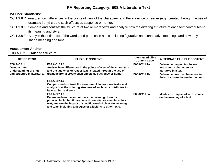#### **PA Core Standards:**

- CC.1.3.8.D Analyze how differences in the points of view of the characters and the audience or reader (e.g., created through the use of dramatic irony) create such effects as suspense or humor.
- CC.1.3.8.E Compare and contrast the structure of two or more texts and analyze how the differing structure of each text contributes to its meaning and style.
- CC.1.3.8.F Analyze the influence of the words and phrases in a text including figurative and connotative meanings and how they shape meaning and tone.

#### **Assessment Anchor**

E08.A-C.2 Craft and Structure

| <b>DESCRIPTOR</b>                                                                           | <b>ELIGIBLE CONTENT</b>                                                                                                                                                                                                                                              | <b>Alternate Eligible</b><br><b>Content Code</b> | <b>ALTERNATE ELIGIBLE CONTENT</b>                                                   |
|---------------------------------------------------------------------------------------------|----------------------------------------------------------------------------------------------------------------------------------------------------------------------------------------------------------------------------------------------------------------------|--------------------------------------------------|-------------------------------------------------------------------------------------|
| E08.A-C.2.1<br><b>Demonstrate</b><br>understanding of craft<br>and structure in literature. | E08.A-C.2.1.1<br>Analyze how differences in the points of view of the characters<br>and the audience or reader (e.g., created through the use of<br>dramatic irony) create such effects as suspense or humor.                                                        | E08AC2.1.1a                                      | Determine the points-of-view of<br>two or more characters or<br>narrators in a text |
|                                                                                             |                                                                                                                                                                                                                                                                      | E08AC2.1.1b                                      | Determine how the characters in<br>the story make the reader respond                |
|                                                                                             | E08.A-C.2.1.2<br>Compare and contrast the structure of two or more texts, and<br>analyze how the differing structure of each text contributes to<br>its meaning and style.                                                                                           |                                                  |                                                                                     |
|                                                                                             | E08.A-C.2.1.3<br>Determine how the author uses the meaning of words or<br>phrases, including figurative and connotative meanings, in a<br>text; analyze the impact of specific word choices on meaning<br>and tone, including analogies or allusions to other texts. | E08AC2.1.3a                                      | Identify the impact of word choice<br>on the meaning of a text                      |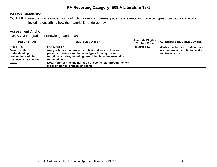# **PA Core Standards:**

CC.1.3.8.H Analyze how a modern work of fiction draws on themes, patterns of events, or character types from traditional works, including describing how the material is rendered new.

# **Assessment Anchor**

E08.A-C.3 Integration of Knowledge and Ideas

| <b>DESCRIPTOR</b>                                                                                               | <b>ELIGIBLE CONTENT</b>                                                                                                                                                                                                                                                                                                     | <b>Alternate Eligible</b><br><b>Content Code</b> | <b>ALTERNATE ELIGIBLE CONTENT</b>                                                              |
|-----------------------------------------------------------------------------------------------------------------|-----------------------------------------------------------------------------------------------------------------------------------------------------------------------------------------------------------------------------------------------------------------------------------------------------------------------------|--------------------------------------------------|------------------------------------------------------------------------------------------------|
| E08.A-C.3.1<br><b>Demonstrate</b><br>understanding of<br>connections within,<br>between, and/or among<br>texts. | E08.A-C.3.1.1<br>Analyze how a modern work of fiction draws on themes,<br>patterns of events, or character types from myths and<br>traditional stories, including describing how the material is<br>rendered new.<br>Note: "Stories" means narration of events told through the text<br>types of stories, dramas, or poems. | E08AC3.1.1a                                      | Identify similarities or differences<br>in a modern work of fiction and a<br>traditional story |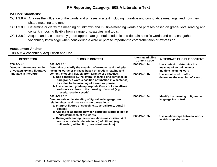#### **PA Core Standards:**

- CC.1.3.8.F Analyze the influence of the words and phrases in a text including figurative and connotative meanings, and how they shape meaning and tone.
- CC.1.3.8.I Determine or clarify the meaning of unknown and multiple-meaning words and phrases based on grade- level reading and content, choosing flexibly from a range of strategies and tools.
- CC.1.3.8.J Acquire and use accurately grade-appropriate general academic and domain-specific words and phrases; gather vocabulary knowledge when considering a word or phrase important to comprehension or expression.

#### **Assessment Anchor**

E08.A-V.4 Vocabulary Acquisition and Use

| <b>DESCRIPTOR</b>                                                                                   | <b>ELIGIBLE CONTENT</b>                                                                                                                                                                                                                                                                                                                                                                                                                                                                                               | <b>Alternate Eligible</b><br><b>Content Code</b> | <b>ALTERNATE ELIGIBLE CONTENT</b>                                                 |
|-----------------------------------------------------------------------------------------------------|-----------------------------------------------------------------------------------------------------------------------------------------------------------------------------------------------------------------------------------------------------------------------------------------------------------------------------------------------------------------------------------------------------------------------------------------------------------------------------------------------------------------------|--------------------------------------------------|-----------------------------------------------------------------------------------|
| E08.A-V.4.1<br>Demonstrate understanding<br>of vocabulary and figurative<br>language in literature. | E08.A-V.4.1.1<br>Determine or clarify the meaning of unknown and multiple-<br>meaning words or phrases based on grade 8 reading and<br>content, choosing flexibly from a range of strategies.<br>a. Use context (e.g., the overall meaning of a sentence or<br>paragraph, a word's position or function in a sentence)<br>as a clue to the meaning of a word or phrase.<br>b. Use common, grade-appropriate Greek or Latin affixes<br>and roots as clues to the meaning of a word (e.g.,<br>precede, recede, secede). | E08AV4.1.1a                                      | Use context to determine the<br>meaning of an unknown or<br>multiple meaning word |
|                                                                                                     |                                                                                                                                                                                                                                                                                                                                                                                                                                                                                                                       | E08AV4.1.1b                                      | Use a root word or affix to<br>determine the meaning of a word                    |
|                                                                                                     | E08.A-V.4.1.2<br>Demonstrate understanding of figurative language, word<br>relationships, and nuances in word meanings.<br>a. Interpret figures of speech (e.g., verbal irony, puns) in<br>context.<br>b. Use the relationship between particular words to better<br>understand each of the words.<br>c. Distinguish among the connotations (associations) of<br>words with similar denotations (definitions) (e.g.,<br>bullheaded, willful, firm, persistent, resolute).                                             | E08AV4.1.2a                                      | Identify the meaning of figurative<br>language in context                         |
|                                                                                                     |                                                                                                                                                                                                                                                                                                                                                                                                                                                                                                                       | E08AV4.1.2b                                      | Use relationships between words<br>to aid comprehension                           |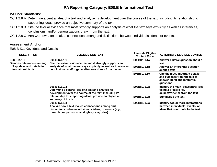## **PA Core Standards:**

- CC.1.2.8.A Determine a central idea of a text and analyze its development over the course of the text, including its relationship to supporting ideas; provide an objective summary of the text.
- CC.1.2.8.B Cite the textual evidence that most strongly supports an analysis of what the text says explicitly as well as inferences, conclusions, and/or generalizations drawn from the text.
- CC.1.2.8.C Analyze how a text makes connections among and distinctions between individuals, ideas, or events.

#### **Assessment Anchor**

E08.B-K.1 Key Ideas and Details

| <b>DESCRIPTOR</b>                                                                                                                                                                                                                                                                                                                                                                                                                                                                                                                                                                                                                           | <b>ELIGIBLE CONTENT</b>                                          | <b>Alternate Eligible</b><br><b>Content Code</b> | <b>ALTERNATE ELIGIBLE CONTENT</b>                                                                               |
|---------------------------------------------------------------------------------------------------------------------------------------------------------------------------------------------------------------------------------------------------------------------------------------------------------------------------------------------------------------------------------------------------------------------------------------------------------------------------------------------------------------------------------------------------------------------------------------------------------------------------------------------|------------------------------------------------------------------|--------------------------------------------------|-----------------------------------------------------------------------------------------------------------------|
| E08.B-K.1.1<br>E08.B-K.1.1.1<br>Cite the textual evidence that most strongly supports an<br>Demonstrate understanding<br>of key ideas and details in<br>informational texts.<br>conclusions, and/or generalizations drawn from the text.<br>E08.B-K.1.1.2<br>Determine a central idea of a text and analyze its<br>development over the course of the text, including its<br>relationship to supporting ideas; provide an objective<br>summary of the text.<br>E08.B-K.1.1.3<br>Analyze how a text makes connections among and<br>distinctions between individuals, ideas, or events (e.g.,<br>through comparisons, analogies, categories). |                                                                  | E08BK1.1.1a                                      | Answer a literal question about a<br>text                                                                       |
|                                                                                                                                                                                                                                                                                                                                                                                                                                                                                                                                                                                                                                             | analysis of what the text says explicitly as well as inferences, | E08BK1.1.1b                                      | Answer an inferential question<br>about a text                                                                  |
|                                                                                                                                                                                                                                                                                                                                                                                                                                                                                                                                                                                                                                             |                                                                  | E08BK1.1.1c                                      | Cite the most important details<br>and evidence from the text to<br>answer literal and inferential<br>questions |
|                                                                                                                                                                                                                                                                                                                                                                                                                                                                                                                                                                                                                                             |                                                                  | E08BK1.1.2a                                      | Identify the main idea/central idea<br>using 2 or more key<br>details/evidence from the text                    |
|                                                                                                                                                                                                                                                                                                                                                                                                                                                                                                                                                                                                                                             |                                                                  | E08BK1.1.2b                                      | <b>Summarize the text</b>                                                                                       |
|                                                                                                                                                                                                                                                                                                                                                                                                                                                                                                                                                                                                                                             |                                                                  | E08BK1.1.3a                                      | Identify two or more interactions<br>between individuals, events, or<br>ideas that contribute to the text       |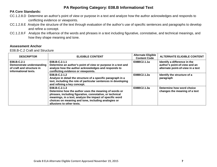# **PA Core Standards:**

- CC.1.2.8.D Determine an author's point of view or purpose in a text and analyze how the author acknowledges and responds to conflicting evidence or viewpoints.
- CC.1.2.8.E Analyze the structure of the text through evaluation of the author's use of specific sentences and paragraphs to develop and refine a concept.
- CC.1.2.8.F Analyze the influence of the words and phrases in a text including figurative, connotative, and technical meanings, and how they shape meaning and tone.

# **Assessment Anchor**

E08.B-C.2 Craft and Structure

| <b>DESCRIPTOR</b>                                                                             | <b>ELIGIBLE CONTENT</b>                                                                                                                                                                                                                                                            | <b>Alternate Eligible</b><br><b>Content Code</b> | <b>ALTERNATE ELIGIBLE CONTENT</b>                                                                  |
|-----------------------------------------------------------------------------------------------|------------------------------------------------------------------------------------------------------------------------------------------------------------------------------------------------------------------------------------------------------------------------------------|--------------------------------------------------|----------------------------------------------------------------------------------------------------|
| E08.B-C.2.1<br>Demonstrate understanding<br>of craft and structure in<br>informational texts. | E08.B-C.2.1.1<br>Determine an author's point of view or purpose in a text and<br>analyze how the author acknowledges and responds to<br>conflicting evidence or viewpoints.                                                                                                        | E08BC2.1.1a                                      | Identify a difference in the<br>author's point-of-view and an<br>alternate point-of-view in a text |
|                                                                                               | E08.B-C.2.1.2<br>Analyze in detail the structure of a specific paragraph in a<br>text, including the role of particular sentences in developing<br>and refining a key concept.                                                                                                     | E08BC2.1.2a                                      | Identify the structure of a<br>paragraph                                                           |
|                                                                                               | E08.B-C.2.1.3<br>Determine how the author uses the meaning of words or<br>phrases, including figurative, connotative, or technical<br>meanings, in a text; analyze the impact of specific word<br>choices on meaning and tone, including analogies or<br>allusions to other texts. | E08BC2.1.3a                                      | Determine how word choice<br>changes the meaning of a text                                         |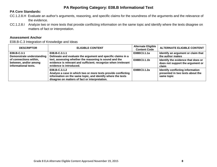# **PA Core Standards:**

- CC.1.2.8.H Evaluate an author's arguments, reasoning, and specific claims for the soundness of the arguments and the relevance of the evidence.
- CC.1.2.8.I Analyze two or more texts that provide conflicting information on the same topic and identify where the texts disagree on matters of fact or interpretation.

## **Assessment Anchor**

E08.B-C.3 Integration of Knowledge and Ideas

| <b>DESCRIPTOR</b>         | <b>ELIGIBLE CONTENT</b>                                                                                                                                                                         | <b>Alternate Eligible</b><br><b>Content Code</b> | <b>ALTERNATE ELIGIBLE CONTENT</b>                                                  |
|---------------------------|-------------------------------------------------------------------------------------------------------------------------------------------------------------------------------------------------|--------------------------------------------------|------------------------------------------------------------------------------------|
| E08.B-C.3.1               | E08.B-C.3.1.1                                                                                                                                                                                   | E08BC3.1.1a                                      | Identify an argument or claim that                                                 |
| Demonstrate understanding | Delineate and evaluate the argument and specific claims in a                                                                                                                                    |                                                  | the author makes                                                                   |
| of connections within,    | text, assessing whether the reasoning is sound and the                                                                                                                                          | E08BC3.1.1b                                      | Identify the evidence that does or                                                 |
| between, and/or among     | evidence is relevant and sufficient; recognize when irrelevant                                                                                                                                  |                                                  | does not support the argument or                                                   |
| informational texts.      | evidence is introduced.                                                                                                                                                                         |                                                  | claim                                                                              |
|                           | E08.B-C.3.1.2<br>Analyze a case in which two or more texts provide conflicting<br>information on the same topic, and identify where the texts<br>disagree on matters of fact or interpretation. | E08BC3.1.2a                                      | Identify conflicting information<br>presented in two texts about the<br>same topic |